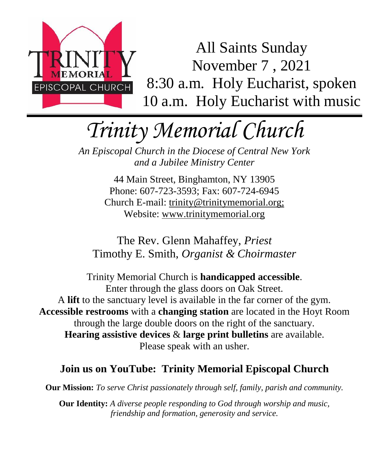

All Saints Sunday November 7 , 2021 8:30 a.m. Holy Eucharist, spoken 10 a.m. Holy Eucharist with music

# *Trinity Memorial Church*

*An Episcopal Church in the Diocese of Central New York and a Jubilee Ministry Center*

> 44 Main Street, Binghamton, NY 13905 Phone: 607-723-3593; Fax: 607-724-6945 Church E-mail: trinity@trinitymemorial.org; Website: www.trinitymemorial.org

The Rev. Glenn Mahaffey, *Priest* Timothy E. Smith, *Organist & Choirmaster* 

Trinity Memorial Church is **handicapped accessible**. Enter through the glass doors on Oak Street. A **lift** to the sanctuary level is available in the far corner of the gym. **Accessible restrooms** with a **changing station** are located in the Hoyt Room through the large double doors on the right of the sanctuary. **Hearing assistive devices** & **large print bulletins** are available. Please speak with an usher.

#### **Join us on YouTube: Trinity Memorial Episcopal Church**

**Our Mission:** *To serve Christ passionately through self, family, parish and community.*

**Our Identity:** *A diverse people responding to God through worship and music, friendship and formation, generosity and service.*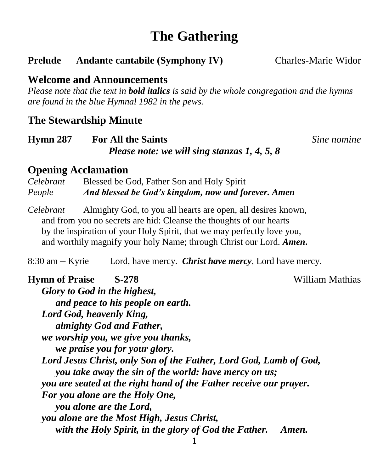# **The Gathering**

#### **Prelude** Andante cantabile (Symphony IV) Charles-Marie Widor

#### **Welcome and Announcements**

*Please note that the text in bold italics is said by the whole congregation and the hymns are found in the blue Hymnal 1982 in the pews.*

#### **The Stewardship Minute**

| <b>Hymn 287</b> | <b>For All the Saints</b>                      |  |  |  |
|-----------------|------------------------------------------------|--|--|--|
|                 | Please note: we will sing stanzas $1, 4, 5, 8$ |  |  |  |

**Sine nomine** 

#### **Opening Acclamation**

*Celebrant* Blessed be God, Father Son and Holy Spirit *People And blessed be God's kingdom, now and forever. Amen*

*Celebrant* Almighty God, to you all hearts are open, all desires known, and from you no secrets are hid: Cleanse the thoughts of our hearts by the inspiration of your Holy Spirit, that we may perfectly love you, and worthily magnify your holy Name; through Christ our Lord. *Amen***.**

8:30 am – Kyrie Lord, have mercy. *Christ have mercy,* Lord have mercy.

### **Hymn of Praise S-278** William Mathias

*Glory to God in the highest, and peace to his people on earth. Lord God, heavenly King, almighty God and Father, we worship you, we give you thanks, we praise you for your glory. Lord Jesus Christ, only Son of the Father, Lord God, Lamb of God, you take away the sin of the world: have mercy on us; you are seated at the right hand of the Father receive our prayer. For you alone are the Holy One, you alone are the Lord, you alone are the Most High, Jesus Christ, with the Holy Spirit, in the glory of God the Father. Amen.*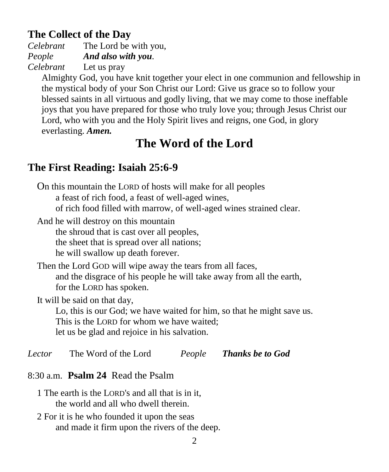### **The Collect of the Day**

*Celebrant* The Lord be with you, *People And also with you. Celebrant* Let us pray

Almighty God, you have knit together your elect in one communion and fellowship in the mystical body of your Son Christ our Lord: Give us grace so to follow your blessed saints in all virtuous and godly living, that we may come to those ineffable joys that you have prepared for those who truly love you; through Jesus Christ our Lord, who with you and the Holy Spirit lives and reigns, one God, in glory everlasting. *Amen.*

# **The Word of the Lord**

# **The First Reading: Isaiah 25:6-9**

On this mountain the LORD of hosts will make for all peoples a feast of rich food, a feast of well-aged wines, of rich food filled with marrow, of well-aged wines strained clear.

And he will destroy on this mountain the shroud that is cast over all peoples, the sheet that is spread over all nations; he will swallow up death forever.

Then the Lord GOD will wipe away the tears from all faces, and the disgrace of his people he will take away from all the earth, for the LORD has spoken.

It will be said on that day,

Lo, this is our God; we have waited for him, so that he might save us. This is the LORD for whom we have waited; let us be glad and rejoice in his salvation.

*Lector* The Word of the Lord *People Thanks be to God*

## 8:30 a.m. **Psalm 24** Read the Psalm

- 1 The earth is the LORD's and all that is in it, the world and all who dwell therein.
- 2 For it is he who founded it upon the seas and made it firm upon the rivers of the deep.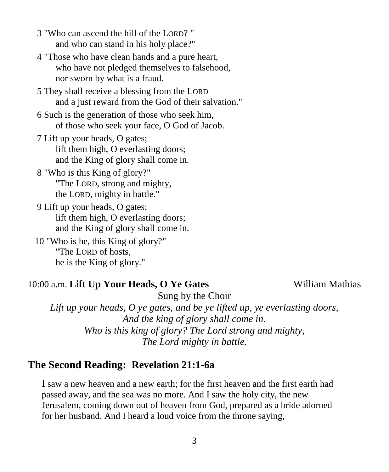- 3 "Who can ascend the hill of the LORD? " and who can stand in his holy place?"
- 4 "Those who have clean hands and a pure heart, who have not pledged themselves to falsehood, nor sworn by what is a fraud.
- 5 They shall receive a blessing from the LORD and a just reward from the God of their salvation."
- 6 Such is the generation of those who seek him, of those who seek your face, O God of Jacob.
- 7 Lift up your heads, O gates; lift them high, O everlasting doors; and the King of glory shall come in.
- 8 "Who is this King of glory?" "The LORD, strong and mighty, the LORD, mighty in battle."
- 9 Lift up your heads, O gates; lift them high, O everlasting doors; and the King of glory shall come in.
- 10 "Who is he, this King of glory?" "The LORD of hosts, he is the King of glory."

#### 10:00 a.m. **Lift Up Your Heads, O Ye Gates** William Mathias

Sung by the Choir

*Lift up your heads, O ye gates, and be ye lifted up, ye everlasting doors, And the king of glory shall come in. Who is this king of glory? The Lord strong and mighty, The Lord mighty in battle.*

#### **The Second Reading: Revelation 21:1-6a**

I saw a new heaven and a new earth; for the first heaven and the first earth had passed away, and the sea was no more. And I saw the holy city, the new Jerusalem, coming down out of heaven from God, prepared as a bride adorned for her husband. And I heard a loud voice from the throne saying,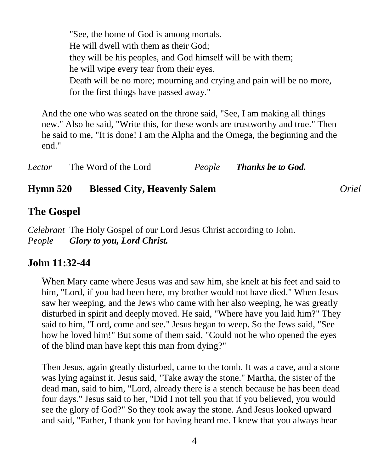"See, the home of God is among mortals. He will dwell with them as their God; they will be his peoples, and God himself will be with them; he will wipe every tear from their eyes. Death will be no more; mourning and crying and pain will be no more, for the first things have passed away."

And the one who was seated on the throne said, "See, I am making all things new." Also he said, "Write this, for these words are trustworthy and true." Then he said to me, "It is done! I am the Alpha and the Omega, the beginning and the end."

| Lector | The Word of the Lord | People | Thanks be to God. |
|--------|----------------------|--------|-------------------|
|--------|----------------------|--------|-------------------|

#### **Hymn 520 Blessed City, Heavenly Salem** *Oriel*

#### **The Gospel**

*Celebrant* The Holy Gospel of our Lord Jesus Christ according to John. *People Glory to you, Lord Christ.*

#### **John 11:32-44**

When Mary came where Jesus was and saw him, she knelt at his feet and said to him, "Lord, if you had been here, my brother would not have died." When Jesus saw her weeping, and the Jews who came with her also weeping, he was greatly disturbed in spirit and deeply moved. He said, "Where have you laid him?" They said to him, "Lord, come and see." Jesus began to weep. So the Jews said, "See how he loved him!" But some of them said, "Could not he who opened the eyes of the blind man have kept this man from dying?"

Then Jesus, again greatly disturbed, came to the tomb. It was a cave, and a stone was lying against it. Jesus said, "Take away the stone." Martha, the sister of the dead man, said to him, "Lord, already there is a stench because he has been dead four days." Jesus said to her, "Did I not tell you that if you believed, you would see the glory of God?" So they took away the stone. And Jesus looked upward and said, "Father, I thank you for having heard me. I knew that you always hear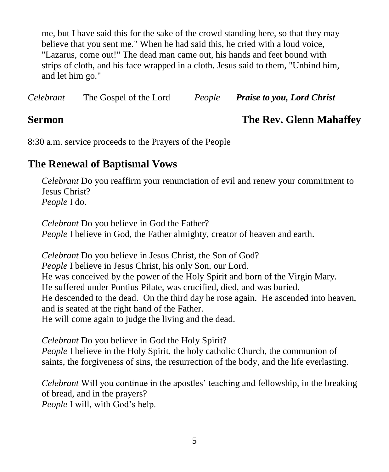me, but I have said this for the sake of the crowd standing here, so that they may believe that you sent me." When he had said this, he cried with a loud voice, "Lazarus, come out!" The dead man came out, his hands and feet bound with strips of cloth, and his face wrapped in a cloth. Jesus said to them, "Unbind him, and let him go."

| Celebrant | The Gospel of the Lord | People | <b>Praise to you, Lord Christ</b> |
|-----------|------------------------|--------|-----------------------------------|
|           |                        |        |                                   |

#### **Sermon The Rev. Glenn Mahaffey**

8:30 a.m. service proceeds to the Prayers of the People

#### **The Renewal of Baptismal Vows**

*Celebrant* Do you reaffirm your renunciation of evil and renew your commitment to Jesus Christ? *People* I do.

*Celebrant* Do you believe in God the Father? *People* I believe in God, the Father almighty, creator of heaven and earth.

*Celebrant* Do you believe in Jesus Christ, the Son of God? *People* I believe in Jesus Christ, his only Son, our Lord. He was conceived by the power of the Holy Spirit and born of the Virgin Mary. He suffered under Pontius Pilate, was crucified, died, and was buried. He descended to the dead. On the third day he rose again. He ascended into heaven, and is seated at the right hand of the Father. He will come again to judge the living and the dead.

*Celebrant* Do you believe in God the Holy Spirit? *People* I believe in the Holy Spirit, the holy catholic Church, the communion of saints, the forgiveness of sins, the resurrection of the body, and the life everlasting.

*Celebrant* Will you continue in the apostles' teaching and fellowship, in the breaking of bread, and in the prayers? *People* I will, with God's help.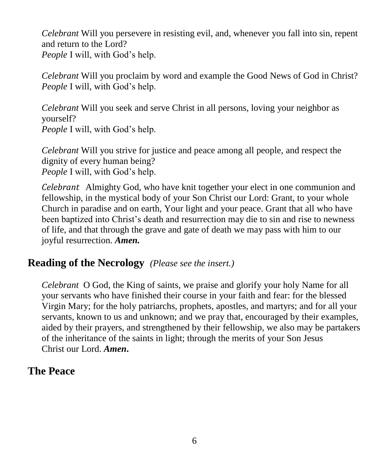*Celebrant* Will you persevere in resisting evil, and, whenever you fall into sin, repent and return to the Lord? *People* I will, with God's help.

*Celebrant* Will you proclaim by word and example the Good News of God in Christ? *People* I will, with God's help.

*Celebrant* Will you seek and serve Christ in all persons, loving your neighbor as yourself? *People* I will, with God's help.

*Celebrant* Will you strive for justice and peace among all people, and respect the dignity of every human being? *People* I will, with God's help.

*Celebrant* Almighty God, who have knit together your elect in one communion and fellowship, in the mystical body of your Son Christ our Lord: Grant, to your whole Church in paradise and on earth, Your light and your peace. Grant that all who have been baptized into Christ's death and resurrection may die to sin and rise to newness of life, and that through the grave and gate of death we may pass with him to our joyful resurrection. *Amen.*

#### **Reading of the Necrology** *(Please see the insert.)*

*Celebrant* O God, the King of saints, we praise and glorify your holy Name for all your servants who have finished their course in your faith and fear: for the blessed Virgin Mary; for the holy patriarchs, prophets, apostles, and martyrs; and for all your servants, known to us and unknown; and we pray that, encouraged by their examples, aided by their prayers, and strengthened by their fellowship, we also may be partakers of the inheritance of the saints in light; through the merits of your Son Jesus Christ our Lord. *Amen***.**

### **The Peace**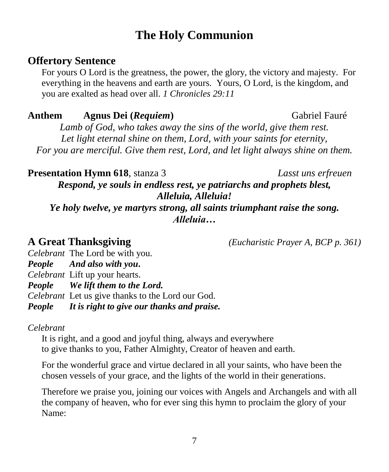# **The Holy Communion**

#### **Offertory Sentence**

For yours O Lord is the greatness, the power, the glory, the victory and majesty. For everything in the heavens and earth are yours. Yours, O Lord, is the kingdom, and you are exalted as head over all. *1 Chronicles 29:11*

#### **Anthem Agnus Dei (***Requiem***)** Gabriel Fauré

*Lamb of God, who takes away the sins of the world, give them rest. Let light eternal shine on them, Lord, with your saints for eternity, For you are merciful. Give them rest, Lord, and let light always shine on them.*

**Presentation Hymn 618**, stanza 3 *Lasst uns erfreuen*

*Respond, ye souls in endless rest, ye patriarchs and prophets blest, Alleluia, Alleluia!*

*Ye holy twelve, ye martyrs strong, all saints triumphant raise the song. Alleluia…*

**A Great Thanksgiving** *(Eucharistic Prayer A, BCP p. 361)*

*Celebrant* The Lord be with you.

*People And also with you***.**

*Celebrant* Lift up your hearts.

*People We lift them to the Lord.*

*Celebrant* Let us give thanks to the Lord our God.

*People It is right to give our thanks and praise.*

*Celebrant* 

It is right, and a good and joyful thing, always and everywhere to give thanks to you, Father Almighty, Creator of heaven and earth.

For the wonderful grace and virtue declared in all your saints, who have been the chosen vessels of your grace, and the lights of the world in their generations.

Therefore we praise you, joining our voices with Angels and Archangels and with all the company of heaven, who for ever sing this hymn to proclaim the glory of your Name: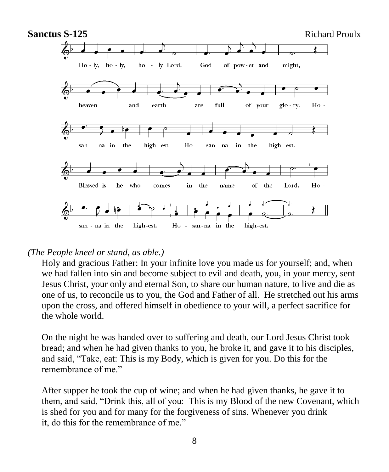

#### *(The People kneel or stand, as able.)*

Holy and gracious Father: In your infinite love you made us for yourself; and, when we had fallen into sin and become subject to evil and death, you, in your mercy, sent Jesus Christ, your only and eternal Son, to share our human nature, to live and die as one of us, to reconcile us to you, the God and Father of all. He stretched out his arms upon the cross, and offered himself in obedience to your will, a perfect sacrifice for the whole world.

On the night he was handed over to suffering and death, our Lord Jesus Christ took bread; and when he had given thanks to you, he broke it, and gave it to his disciples, and said, "Take, eat: This is my Body, which is given for you. Do this for the remembrance of me."

After supper he took the cup of wine; and when he had given thanks, he gave it to them, and said, "Drink this, all of you: This is my Blood of the new Covenant, which is shed for you and for many for the forgiveness of sins. Whenever you drink it, do this for the remembrance of me."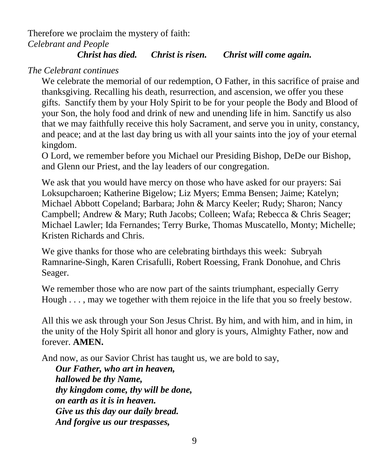Therefore we proclaim the mystery of faith: *Celebrant and People*

#### *Christ has died. Christ is risen. Christ will come again.*

#### *The Celebrant continues*

We celebrate the memorial of our redemption, O Father, in this sacrifice of praise and thanksgiving. Recalling his death, resurrection, and ascension, we offer you these gifts. Sanctify them by your Holy Spirit to be for your people the Body and Blood of your Son, the holy food and drink of new and unending life in him. Sanctify us also that we may faithfully receive this holy Sacrament, and serve you in unity, constancy, and peace; and at the last day bring us with all your saints into the joy of your eternal kingdom.

O Lord, we remember before you Michael our Presiding Bishop, DeDe our Bishop, and Glenn our Priest, and the lay leaders of our congregation.

We ask that you would have mercy on those who have asked for our prayers: Sai Loksupcharoen; Katherine Bigelow; Liz Myers; Emma Bensen; Jaime; Katelyn; Michael Abbott Copeland; Barbara; John & Marcy Keeler; Rudy; Sharon; Nancy Campbell; Andrew & Mary; Ruth Jacobs; Colleen; Wafa; Rebecca & Chris Seager; Michael Lawler; Ida Fernandes; Terry Burke, Thomas Muscatello, Monty; Michelle; Kristen Richards and Chris.

We give thanks for those who are celebrating birthdays this week: Subryah Ramnarine-Singh, Karen Crisafulli, Robert Roessing, Frank Donohue, and Chris Seager.

We remember those who are now part of the saints triumphant, especially Gerry Hough . . . , may we together with them rejoice in the life that you so freely bestow.

All this we ask through your Son Jesus Christ. By him, and with him, and in him, in the unity of the Holy Spirit all honor and glory is yours, Almighty Father, now and forever. **AMEN.**

And now, as our Savior Christ has taught us, we are bold to say,

*Our Father, who art in heaven, hallowed be thy Name, thy kingdom come, thy will be done, on earth as it is in heaven. Give us this day our daily bread. And forgive us our trespasses,*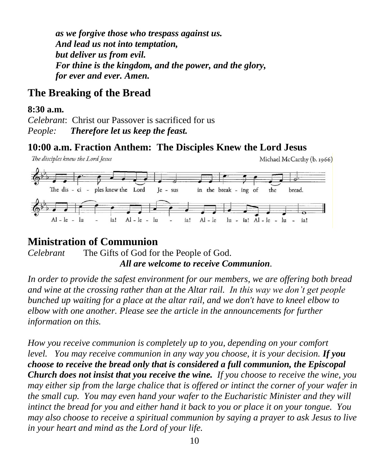*as we forgive those who trespass against us. And lead us not into temptation, but deliver us from evil. For thine is the kingdom, and the power, and the glory, for ever and ever. Amen.*

#### **The Breaking of the Bread**

#### **8:30 a.m.**

*Celebrant*: Christ our Passover is sacrificed for us *People: Therefore let us keep the feast.*

#### **10:00 a.m. Fraction Anthem: The Disciples Knew the Lord Jesus**

The disciples knew the Lord Jesus Michael McCarthy (b. 1966) The dis - ci - ples knew the Lord in the break - ing of  $Ie - sus$ the bread.  $Al - le - lu$ Al - le Iu Al - le  $\ln$  - ia! Al - le ia! ia! lu

#### **Ministration of Communion**

*Celebrant* The Gifts of God for the People of God. *All are welcome to receive Communion.*

*In order to provide the safest environment for our members, we are offering both bread and wine at the crossing rather than at the Altar rail. In this way we don't get people bunched up waiting for a place at the altar rail, and we don't have to kneel elbow to elbow with one another. Please see the article in the announcements for further information on this.*

*How you receive communion is completely up to you, depending on your comfort level. You may receive communion in any way you choose, it is your decision. If you choose to receive the bread only that is considered a full communion, the Episcopal Church does not insist that you receive the wine. If you choose to receive the wine, you may either sip from the large chalice that is offered or intinct the corner of your wafer in the small cup. You may even hand your wafer to the Eucharistic Minister and they will intinct the bread for you and either hand it back to you or place it on your tongue. You may also choose to receive a spiritual communion by saying a prayer to ask Jesus to live in your heart and mind as the Lord of your life.*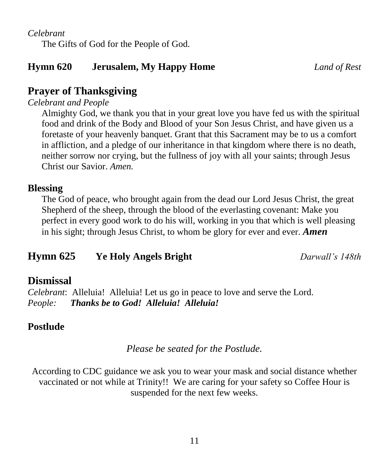#### *Celebrant*

The Gifts of God for the People of God.

#### **Hymn 620 Jerusalem, My Happy Home** *Land of Rest*

#### **Prayer of Thanksgiving**

*Celebrant and People*

Almighty God, we thank you that in your great love you have fed us with the spiritual food and drink of the Body and Blood of your Son Jesus Christ, and have given us a foretaste of your heavenly banquet. Grant that this Sacrament may be to us a comfort in affliction, and a pledge of our inheritance in that kingdom where there is no death, neither sorrow nor crying, but the fullness of joy with all your saints; through Jesus Christ our Savior. *Amen.*

#### **Blessing**

The God of peace, who brought again from the dead our Lord Jesus Christ, the great Shepherd of the sheep, through the blood of the everlasting covenant: Make you perfect in every good work to do his will, working in you that which is well pleasing in his sight; through Jesus Christ, to whom be glory for ever and ever. *Amen*

### **Hymn 625 Ye Holy Angels Bright** *Darwall's 148th*

#### **Dismissal**

*Celebrant*: Alleluia! Alleluia! Let us go in peace to love and serve the Lord. *People: Thanks be to God! Alleluia! Alleluia!*

#### **Postlude**

#### *Please be seated for the Postlude.*

According to CDC guidance we ask you to wear your mask and social distance whether vaccinated or not while at Trinity!! We are caring for your safety so Coffee Hour is suspended for the next few weeks.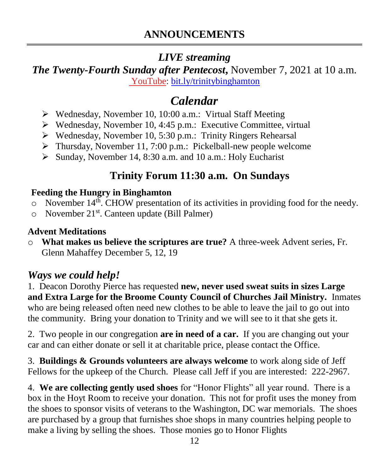### *LIVE streaming*

*The Twenty-Fourth Sunday after Pentecost***,** November 7, 2021 at 10 a.m. [YouTube:](https://bit.ly/trinitybinghamton) [bit.ly/trinitybinghamton](https://bit.ly/trinitybinghamton)

# *Calendar*

- ➢ Wednesday, November 10, 10:00 a.m.: Virtual Staff Meeting
- ➢ Wednesday, November 10, 4:45 p.m.: Executive Committee, virtual
- ➢ Wednesday, November 10, 5:30 p.m.: Trinity Ringers Rehearsal
- ➢ Thursday, November 11, 7:00 p.m.: Pickelball-new people welcome
- ➢ Sunday, November 14, 8:30 a.m. and 10 a.m.: Holy Eucharist

# **Trinity Forum 11:30 a.m. On Sundays**

#### **Feeding the Hungry in Binghamton**

- o November 14th. CHOW presentation of its activities in providing food for the needy.
- o November 21st. Canteen update (Bill Palmer)

#### **Advent Meditations**

o **What makes us believe the scriptures are true?** A three-week Advent series, Fr. Glenn Mahaffey December 5, 12, 19

### *Ways we could help!*

1. Deacon Dorothy Pierce has requested **new, never used sweat suits in sizes Large and Extra Large for the Broome County Council of Churches Jail Ministry.** Inmates who are being released often need new clothes to be able to leave the jail to go out into the community. Bring your donation to Trinity and we will see to it that she gets it.

2. Two people in our congregation **are in need of a car.** If you are changing out your car and can either donate or sell it at charitable price, please contact the Office.

3. **Buildings & Grounds volunteers are always welcome** to work along side of Jeff Fellows for the upkeep of the Church. Please call Jeff if you are interested: 222-2967.

4. **We are collecting gently used shoes** for "Honor Flights" all year round. There is a box in the Hoyt Room to receive your donation. This not for profit uses the money from the shoes to sponsor visits of veterans to the Washington, DC war memorials. The shoes are purchased by a group that furnishes shoe shops in many countries helping people to make a living by selling the shoes. Those monies go to Honor Flights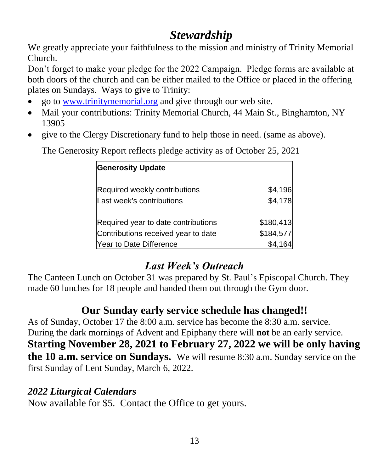# *Stewardship*

We greatly appreciate your faithfulness to the mission and ministry of Trinity Memorial Church.

Don't forget to make your pledge for the 2022 Campaign. Pledge forms are available at both doors of the church and can be either mailed to the Office or placed in the offering plates on Sundays. Ways to give to Trinity:

- go to [www.trinitymemorial.org](http://www.trinitymemorial.org/) and give through our web site.
- Mail your contributions: Trinity Memorial Church, 44 Main St., Binghamton, NY 13905
- give to the Clergy Discretionary fund to help those in need. (same as above).

**Generosity Update** Required weekly contributions  $$4,196$ Last week's contributions **\$4,178** Required year to date contributions \$180,413 Contributions received year to date \$184,577 Year to Date Difference \$4,164

The Generosity Report reflects pledge activity as of October 25, 2021

# *Last Week's Outreach*

The Canteen Lunch on October 31 was prepared by St. Paul's Episcopal Church. They made 60 lunches for 18 people and handed them out through the Gym door.

# **Our Sunday early service schedule has changed!!**

As of Sunday, October 17 the 8:00 a.m. service has become the 8:30 a.m. service. During the dark mornings of Advent and Epiphany there will **not** be an early service. **Starting November 28, 2021 to February 27, 2022 we will be only having the 10 a.m. service on Sundays.** We will resume 8:30 a.m. Sunday service on the first Sunday of Lent Sunday, March 6, 2022.

#### *2022 Liturgical Calendars*

Now available for \$5. Contact the Office to get yours.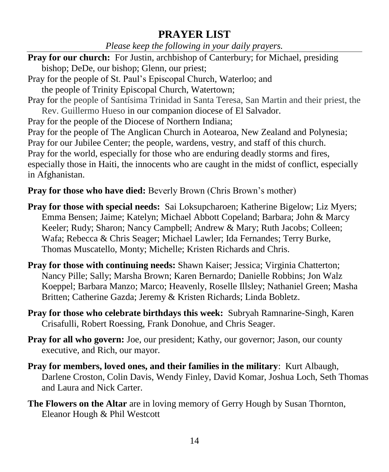#### **PRAYER LIST**

*Please keep the following in your daily prayers.*

- **Pray for our church:** For Justin, archbishop of Canterbury; for Michael, presiding bishop; DeDe, our bishop; Glenn, our priest;
- Pray for the people of St. Paul's Episcopal Church, Waterloo; and
- the people of Trinity Episcopal Church, Watertown;
- Pray for the people of Santísima Trinidad in Santa Teresa, San Martin and their priest, the Rev. Guillermo Hueso in our companion diocese of El Salvador.

Pray for the people of the Diocese of Northern Indiana;

Pray for the people of The Anglican Church in Aotearoa, New Zealand and Polynesia; Pray for our Jubilee Center; the people, wardens, vestry, and staff of this church. Pray for the world, especially for those who are enduring deadly storms and fires, especially those in Haiti, the innocents who are caught in the midst of conflict, especially in Afghanistan.

#### **Pray for those who have died:** Beverly Brown (Chris Brown's mother)

- **Pray for those with special needs:** Sai Loksupcharoen; Katherine Bigelow; Liz Myers; Emma Bensen; Jaime; Katelyn; Michael Abbott Copeland; Barbara; John & Marcy Keeler; Rudy; Sharon; Nancy Campbell; Andrew & Mary; Ruth Jacobs; Colleen; Wafa; Rebecca & Chris Seager; Michael Lawler; Ida Fernandes; Terry Burke, Thomas Muscatello, Monty; Michelle; Kristen Richards and Chris.
- **Pray for those with continuing needs:** Shawn Kaiser; Jessica; Virginia Chatterton; Nancy Pille; Sally; Marsha Brown; Karen Bernardo; Danielle Robbins; Jon Walz Koeppel; Barbara Manzo; Marco; Heavenly, Roselle Illsley; Nathaniel Green; Masha Britten; Catherine Gazda; Jeremy & Kristen Richards; Linda Bobletz.
- **Pray for those who celebrate birthdays this week:** Subryah Ramnarine-Singh, Karen Crisafulli, Robert Roessing, Frank Donohue, and Chris Seager.
- **Pray for all who govern:** Joe, our president; Kathy, our governor; Jason, our county executive, and Rich, our mayor.
- **Pray for members, loved ones, and their families in the military**: Kurt Albaugh, Darlene Croston, Colin Davis, Wendy Finley, David Komar, Joshua Loch, Seth Thomas and Laura and Nick Carter.
- **The Flowers on the Altar** are in loving memory of Gerry Hough by Susan Thornton, Eleanor Hough & Phil Westcott